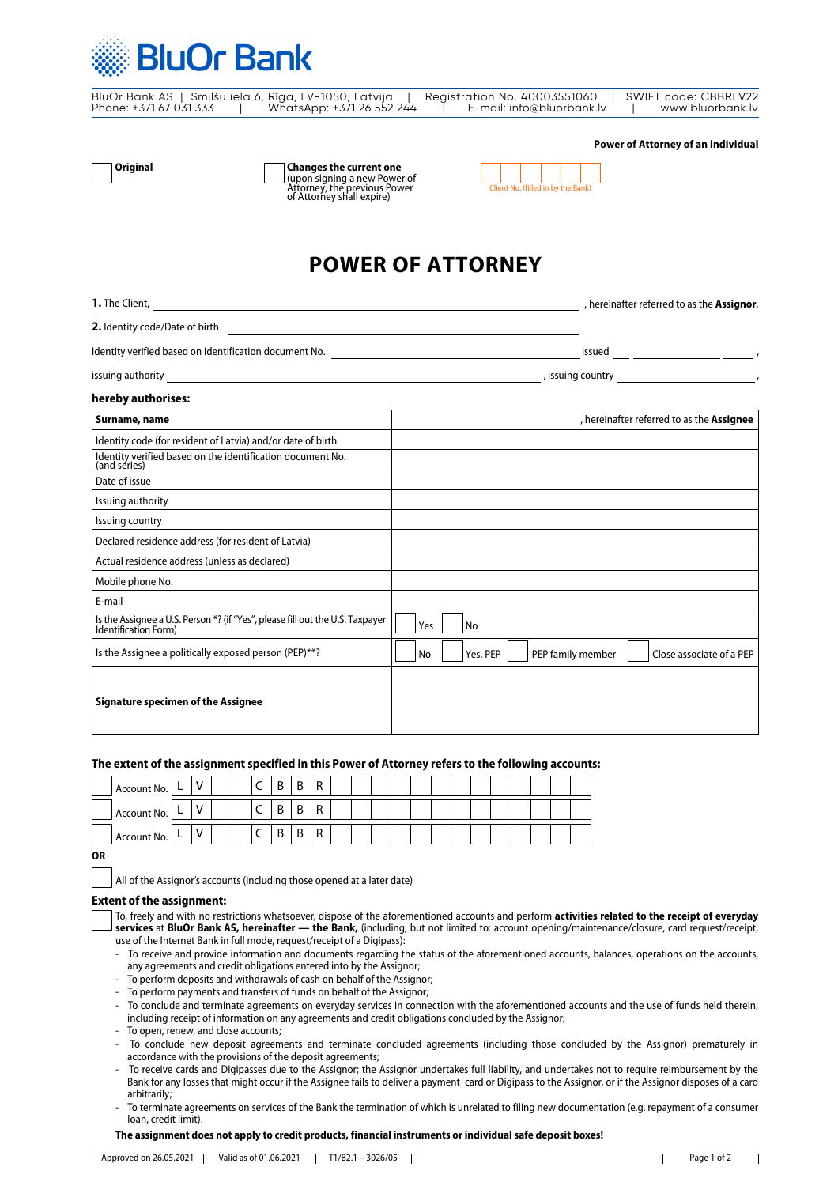

| BluOr Bank AS   Smilšu iela 6, Rīga, LV-1050, Latvija |  |                           | Reaistration No. 40003551060 | SWIFT code: CBBRLV22 |
|-------------------------------------------------------|--|---------------------------|------------------------------|----------------------|
| Phone: +371 67 031 333                                |  | WhatsApp: +371 26 552 244 | E-mail: info@bluorbank.lv    | www.bluorbank.lv     |

| Original |
|----------|
|----------|

**Changes the current one** (upon signing a new Power of Attorney, the previous Power of Attorney shall expire) Client No. (filled in by the Bank)

| Client No. (filled in by the Bank) |  |  |  |  |  |  |  |
|------------------------------------|--|--|--|--|--|--|--|

# **POWER OF ATTORNEY**

| <b>1.</b> The Client,          | , hereinafter referred to as the <b>Assignor</b> , |
|--------------------------------|----------------------------------------------------|
| 2. Identity code/Date of birth |                                                    |

Identity verified based on identification document No. issued https://www.facebook.com/intervention.com/intervention.com/intervention.com/intervention.com/intervention.com/intervention.com/intervention.com/intervention.com

issuing authority , issuing country ,

**Power of Attorney of an individual**

### **hereby authorises:**

| Surname, name                                                                                         | , hereinafter referred to as the Assignee                       |
|-------------------------------------------------------------------------------------------------------|-----------------------------------------------------------------|
| Identity code (for resident of Latvia) and/or date of birth                                           |                                                                 |
| Identity verified based on the identification document No.<br>(and series)                            |                                                                 |
| Date of issue                                                                                         |                                                                 |
| Issuing authority                                                                                     |                                                                 |
| Issuing country                                                                                       |                                                                 |
| Declared residence address (for resident of Latvia)                                                   |                                                                 |
| Actual residence address (unless as declared)                                                         |                                                                 |
| Mobile phone No.                                                                                      |                                                                 |
| E-mail                                                                                                |                                                                 |
| Is the Assignee a U.S. Person *? (if "Yes", please fill out the U.S. Taxpayer<br>Identification Form) | Yes<br>No                                                       |
| Is the Assignee a politically exposed person (PEP)**?                                                 | No<br>Yes, PEP<br>PEP family member<br>Close associate of a PEP |
| <b>Signature specimen of the Assignee</b>                                                             |                                                                 |

### **The extent of the assignment specified in this Power of Attorney refers to the following accounts:**

| Account No. | - |   |  |   | D<br>D | ∼ |     |  |  |  |  |  |  |  |
|-------------|---|---|--|---|--------|---|-----|--|--|--|--|--|--|--|
| Account No. | ► |   |  |   | D<br>D | ັ |     |  |  |  |  |  |  |  |
| Account No. | ► | v |  | ∼ | D<br>D | י | . . |  |  |  |  |  |  |  |

| ٠                |  |
|------------------|--|
| I<br>I<br>$\sim$ |  |

All of the Assignor's accounts (including those opened at a later date)

# **Extent of the assignment:**

| To, freely and with no restrictions whatsoever, dispose of the aforementioned accounts and perform <b>activities related to the receipt of everyday</b> |
|---------------------------------------------------------------------------------------------------------------------------------------------------------|
| $\perp$ services at BluOr Bank AS, hereinafter — the Bank, (including, but not limited to: account opening/maintenance/closure, card request/receipt,   |
| use of the Internet Bank in full mode, request/receipt of a Digipass):                                                                                  |

- To receive and provide information and documents regarding the status of the aforementioned accounts, balances, operations on the accounts, any agreements and credit obligations entered into by the Assignor;
- To perform deposits and withdrawals of cash on behalf of the Assignor;
- To perform payments and transfers of funds on behalf of the Assignor;
- To conclude and terminate agreements on everyday services in connection with the aforementioned accounts and the use of funds held therein, including receipt of information on any agreements and credit obligations concluded by the Assignor;
- To open, renew, and close accounts;
- To conclude new deposit agreements and terminate concluded agreements (including those concluded by the Assignor) prematurely in accordance with the provisions of the deposit agreements;
- To receive cards and Digipasses due to the Assignor; the Assignor undertakes full liability, and undertakes not to require reimbursement by the Bank for any losses that might occur if the Assignee fails to deliver a payment card or Digipass to the Assignor, or if the Assignor disposes of a card arbitrarily;
- To terminate agreements on services of the Bank the termination of which is unrelated to filing new documentation (e.g. repayment of a consumer loan, credit limit).

#### **The assignment does not apply to credit products, financial instruments or individual safe deposit boxes!**